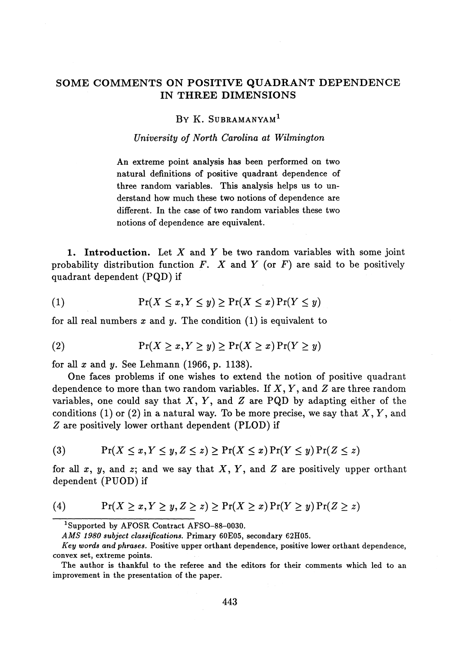# **SOME COMMENTS ON POSITIVE QUADRANT DEPENDENCE IN THREE DIMENSIONS**

## **BY K. SUBRAMANYAM<sup>1</sup>**

#### *University of North Carolina at Wilmington*

An extreme point analysis has been performed on two natural definitions of positive quadrant dependence of three random variables. This analysis helps us to understand how much these two notions of dependence are different. In the case of two random variables these two notions of dependence are equivalent.

**1. Introduction.** Let X and Y be two random variables with some joint probability distribution function *F. X* and *Y* (or *F)* are said to be positively quadrant dependent (PQD) if

(1) Pr(X < a?, *Y < y) >* Pr(X < *x)* Pr(Y < *y)*

for all real numbers *x* and *y.* The condition (1) is equivalent to

(2) 
$$
\Pr(X \ge x, Y \ge y) \ge \Pr(X \ge x) \Pr(Y \ge y)
$$

for all *x* and *y.* See Lehmann (1966, p. 1138).

One faces problems if one wishes to extend the notion of positive quadrant dependence to more than two random variables. If X, *Y*, and *Z* are three random variables, one could say that  $X, Y$ , and  $Z$  are PQD by adapting either of the conditions (1) or (2) in a natural way. To be more precise, we say that  $X, Y$ , and *Z* are positively lower orthant dependent (PLOD) if

$$
(3) \qquad \Pr(X \le x, Y \le y, Z \le z) \ge \Pr(X \le x) \Pr(Y \le y) \Pr(Z \le z)
$$

for all x, y, and z; and we say that  $X, Y$ , and  $Z$  are positively upper orthant dependent (PUOD) if

(4) 
$$
\Pr(X \ge x, Y \ge y, Z \ge z) \ge \Pr(X \ge x) \Pr(Y \ge y) \Pr(Z \ge z)
$$

*AMS 1980 subject classifications.* **Primary 60E05, secondary 62H05.**

Supported by AFOSR Contract AFSO-88-0030.

*Key words and phrases.* Positive upper orthant dependence, positive lower orthant dependence, convex set, extreme points.

The author is thankful to the referee and the editors for their comments which led to an improvement in the presentation of the paper.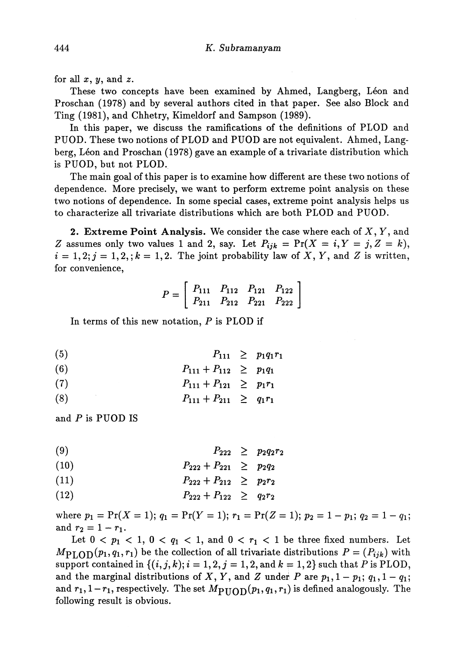for all  $x, y$ , and  $z$ .

These two concepts have been examined by Ahmed, Langberg, Léon and Proschan (1978) and by several authors cited in that paper. See also Block and Ting (1981), and Ghhetry, Kimeldorf and Sampson (1989).

In this paper, we discuss the ramifications of the definitions of PLOD and PUOD. These two notions of PLOD and PUOD are not equivalent. Ahmed, Lang berg, Leon and Proschan (1978) gave an example of a trivariate distribution which is PUOD, but not PLOD.

The main goal of this paper is to examine how different are these two notions of dependence. More precisely, we want to perform extreme point analysis on these two notions of dependence. In some special cases, extreme point analysis helps us to characterize all trivariate distributions which are both PLOD and PUOD.

**2. Extreme Point Analysis.** We consider the case where each of X, Y, and *Z* assumes only two values 1 and 2, say. Let  $P_{ijk} = Pr(X = i, Y = j, Z = k)$ ,  $i = 1,2; j = 1,2; k = 1,2.$  The joint probability law of X, Y, and Z is written, for convenience,

$$
P = \left[ \begin{array}{ccc} P_{111} & P_{112} & P_{121} & P_{122} \\ P_{211} & P_{212} & P_{221} & P_{222} \end{array} \right]
$$

In terms of this new notation, *P* is PLOD if

- (5)  $P_{111} \geq p_1 q_1 r_1$
- (6)  $P_{111} + P_{112} \geq p_1 q_1$
- (7)  $P_{111} + P_{121} \geq p_1 r_1$
- (8)  $P_{111} + P_{211} \geq q_1 r_1$

and *P* is PUOD IS

- (9)  $P_{222} \ge p_2 q_2 r_2$
- (10)  $P_{222} + P_{221} \geq p_2q_2$

$$
(11) \t\t P_{222} + P_{212} \geq p_2 r_2
$$

(12)  $P_{222} + P_{122} \geq q_2 r_2$ 

where  $p_1 = \Pr(X = 1); q_1 = \Pr(Y = 1); r_1 = \Pr(Z = 1); p_2 = 1 - p_1; q_2 = 1 - q_1$ and  $r_2 = 1 - r_1$ .

Let  $0 < p_1 < 1$ ,  $0 < q_1 < 1$ , and  $0 < r_1 < 1$  be three fixed numbers. Let  $M_{\text{PLOD}}(p_1, q_1, r_1)$  be the collection of all trivariate distributions  $P = (P_{ijk})$  with support contained in  $\{(i, j, k); i = 1, 2, j = 1, 2, \text{and } k = 1, 2\}$  such that *P* is PLOD, and the marginal distributions of X, Y, and Z under P are  $p_1$ ,  $1 - p_1$ ;  $q_1$ ,  $1 - q_1$ ; and  $r_1, 1 - r_1$ , respectively. The set  $M_{\text{PIOD}}(p_1, q_1, r_1)$  is defined analogously. The following result is obvious.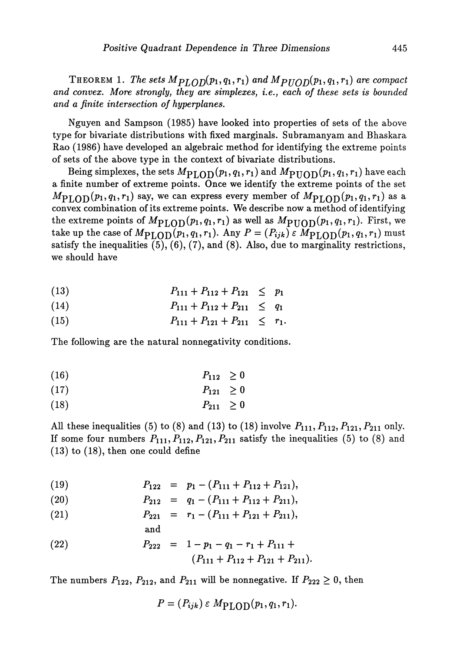THEOREM 1. The sets  $M_{PLOD}(p_1,q_1,r_1)$  and  $M_{PUOD}(p_1,q_1,r_1)$  are compact *and convex. More strongly, they are simplexes,* i.e., *each of these sets is bounded and a finite intersection of hyperplanes.*

Nguyen and Sampson (1985) have looked into properties of sets of the above type for bivariate distributions with fixed marginals. Subramanyam and Bhaskara Rao (1986) have developed an algebraic method for identifying the extreme points of sets of the above type in the context of bivariate distributions.

Being simplexes, the sets  $M_{\rm PLOD} (p_1,q_1,r_1)$  and  $M_{\rm PUOD} (p_1,q_1,r_1)$  have eacl a finite number of extreme points. Once we identify the extreme points of the set  $M_{\rm PLOD}(p_1,q_1,r_1)$  say, we can express every member of  $M_{\rm PLOD}(p_1,q_1,r_1)$  as a convex combination of its extreme points. We describe now a method of identifying the extreme points of  $M_{\rm PLOD}(p_1,q_1,r_1)$  as well as  $M_{\rm PUOD}(p_1,q_1,r_1)$ . First, we take up the case of  $M_{\rm{PLOD}}(p_1,q_1,r_1)$ . Any  $P=(P_{ijk})\,\varepsilon\,\widetilde{M_{\rm{PLOD}}}(p_1,q_1,r_1)$  mu satisfy the inequalities  $(5)$ ,  $(6)$ ,  $(7)$ , and  $(8)$ . Also, due to marginality restrictions, we should have

$$
(13) \t\t P_{111} + P_{112} + P_{121} \le p_1
$$

$$
(14) \t\t P_{111} + P_{112} + P_{211} \le q_1
$$

(15)  $P_{111} + P_{121} + P_{211} \leq r_1.$ 

The following are the natural nonnegativity conditions.

$$
(16) \t\t\t P_{112} \geq 0
$$

$$
(17) \t\t\t P_{121} \geq 0
$$

$$
(18) \t\t\t P_{211} \geq 0
$$

All these inequalities (5) to (8) and (13) to (18) involve  $P_{111}, P_{112}, P_{121}, P_{211}$  only. If some four numbers  $P_{111}, P_{112}, P_{121}, P_{211}$  satisfy the inequalities (5) to (8) and (13) to (18), then one could define

(19) 
$$
P_{122} = p_1 - (P_{111} + P_{112} + P_{121}),
$$

(20) 
$$
P_{212} = q_1 - (P_{111} + P_{112} + P_{211}),
$$

(21) 
$$
P_{221} = r_1 - (P_{111} + P_{121} + P_{211}),
$$

and

(22) 
$$
P_{222} = 1 - p_1 - q_1 - r_1 + P_{111} +
$$

$$
(P_{111} + P_{112} + P_{121} + P_{211}).
$$

The numbers  $P_{122}$ ,  $P_{212}$ , and  $P_{211}$  will be nonnegative. If  $P_{222} \geq 0$ , then

$$
P = (P_{ijk}) \varepsilon M_{\rm PLOD}(p_1, q_1, r_1).
$$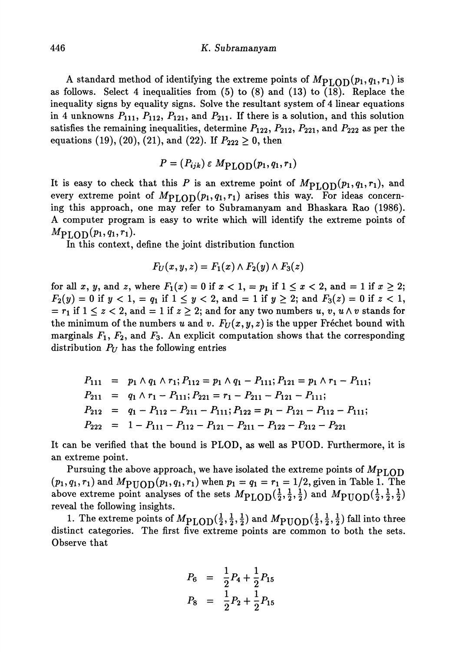#### 446 *K.* Subramanyam

A standard method of identifying the extreme points of  $M_{\rm PLOD}(p_1,q_1,r_1)$  is as follows. Select 4 inequalities from (5) to (8) and (13) to (18). Replace the inequality signs by equality signs. Solve the resultant system of 4 linear equations in 4 unknowns  $P_{111}$ ,  $P_{112}$ ,  $P_{121}$ , and  $P_{211}$ . If there is a solution, and this solution satisfies the remaining inequalities, determine  $P_{122}$ ,  $P_{212}$ ,  $P_{221}$ , and  $P_{222}$  as per the equations (19), (20), (21), and (22). If  $P_{222} \ge 0$ , then

$$
P = (P_{ijk}) \varepsilon M_{\rm PLOD}(p_1, q_1, r_1)
$$

It is easy to check that this P is an extreme point of  $M_{\text{PLOD}}(p_1,q_1,r_1)$ , and every extreme point of  $M_{\text{PLOD}}(p_1, q_1, r_1)$  arises this way. For ideas concerning this approach, one may refer to Subramanyam and Bhaskara Rao (1986). A computer program is easy to write which will identify the extreme points of  $M_{\text{PLOD}}(p_1, q_1, r_1).$ 

In this context, define the joint distribution function

$$
F_U(x,y,z)=F_1(x)\wedge F_2(y)\wedge F_3(z)
$$

for all x, y, and z, where  $F_1(x) = 0$  if  $x < 1$ ,  $= p_1$  if  $1 \le x < 2$ , and  $= 1$  if  $x \ge 2$ ;  $F_2(y) = 0$  if  $y < 1$ , =  $q_1$  if  $1 \le y < 2$ , and = 1 if  $y \ge 2$ ; and  $F_3(z) = 0$  if  $z < 1$ ,  $= r_1$  if  $1 \leq z < 2$ , and  $= 1$  if  $z \geq 2$ ; and for any two numbers u, v, u  $\wedge v$  stands for the minimum of the numbers *u* and *v.*  $F_U(x, y, z)$  is the upper Frechet bound with marginals  $F_1, F_2$ , and  $F_3$ . An explicit computation shows that the corresponding distribution  $P_U$  has the following entries

$$
P_{111} = p_1 \wedge q_1 \wedge r_1; P_{112} = p_1 \wedge q_1 - P_{111}; P_{121} = p_1 \wedge r_1 - P_{111};
$$
  
\n
$$
P_{211} = q_1 \wedge r_1 - P_{111}; P_{221} = r_1 - P_{211} - P_{121} - P_{111};
$$
  
\n
$$
P_{212} = q_1 - P_{112} - P_{211} - P_{111}; P_{122} = p_1 - P_{121} - P_{112} - P_{111};
$$
  
\n
$$
P_{222} = 1 - P_{111} - P_{112} - P_{121} - P_{211} - P_{122} - P_{212} - P_{221}
$$

It can be verified that the bound is PLOD, as well as PUOD. Furthermore, it is an extreme point.

Pursuing the above approach, we have isolated the extreme points of  $M_{\rm PLOD}$  $(p_1, q_1, r_1)$  and  $M_{\text{PUOD}}(p_1, q_1, r_1)$  when  $p_1 = q_1 = r_1 = 1/2$ , given in Table 1. The above extreme point analyses of the sets  $M_{\text{PLOD}}(\frac{1}{2},\frac{1}{2},\frac{1}{2})$  and  $M_{\text{PIOD}}(\frac{1}{2},\frac{1}{2},\frac{1}{2})$ reveal the following insights.

1. The extreme points of  $M_{\rm PLOD}(\frac{1}{2},\frac{1}{2},\frac{1}{2})$  and  $M_{\rm PUOD}(\frac{1}{2},\frac{1}{2},\frac{1}{2})$  fall into thre distinct categories. The first five extreme points are common to both the sets. Observe that

$$
P_6 = \frac{1}{2}P_4 + \frac{1}{2}P_{15}
$$
  

$$
P_8 = \frac{1}{2}P_2 + \frac{1}{2}P_{15}
$$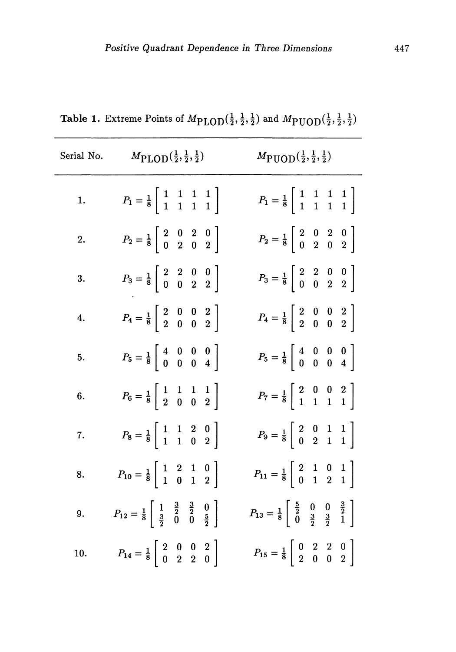| Serial No.       | $M_{\text{PLOD}}(\frac{1}{2},\frac{1}{2},\frac{1}{2})$                                                                                      | $M_{\text{PUOD}}(\frac{1}{2},\frac{1}{2},\frac{1}{2})$                                                                      |
|------------------|---------------------------------------------------------------------------------------------------------------------------------------------|-----------------------------------------------------------------------------------------------------------------------------|
| 1.               | $P_1 = \frac{1}{8} \left  \begin{array}{rrr} 1 & 1 & 1 & 1 \\ 1 & 1 & 1 & 1 \end{array} \right $                                            | $P_1 = \frac{1}{8} \left  \begin{array}{rrr} 1 & 1 & 1 & 1 \\ 1 & 1 & 1 & 1 \end{array} \right $                            |
| $\overline{2}$ . | $P_2 = \frac{1}{8} \begin{bmatrix} 2 & 0 & 2 & 0 \\ 0 & 2 & 0 & 2 \end{bmatrix}$                                                            | $P_2 = \frac{1}{8} \begin{bmatrix} 2 & 0 & 2 & 0 \\ 0 & 2 & 0 & 2 \end{bmatrix}$                                            |
| 3.               | $P_3 = \frac{1}{8} \begin{bmatrix} 2 & 2 & 0 & 0 \\ 0 & 0 & 2 & 2 \end{bmatrix}$                                                            | $P_3 = \frac{1}{8} \begin{bmatrix} 2 & 2 & 0 & 0 \\ 0 & 0 & 2 & 2 \end{bmatrix}$                                            |
| 4.               | $P_4 = \frac{1}{8} \left[ \begin{array}{rrr} 2 & 0 & 0 & 2 \\ 2 & 0 & 0 & 2 \end{array} \right]$                                            | $P_4 = \frac{1}{8} \begin{bmatrix} 2 & 0 & 0 & 2 \\ 2 & 0 & 0 & 2 \end{bmatrix}$                                            |
| 5.               | $P_5 = \frac{1}{8} \left[ \begin{array}{rrr} 4 & 0 & 0 & 0 \\ 0 & 0 & 0 & 4 \end{array} \right]$                                            | $P_5 = \frac{1}{8} \begin{bmatrix} 4 & 0 & 0 & 0 \\ 0 & 0 & 0 & 4 \end{bmatrix}$                                            |
| 6.               | $P_6 = \frac{1}{8} \begin{bmatrix} 1 & 1 & 1 & 1 \\ 2 & 0 & 0 & 2 \end{bmatrix}$                                                            | $P_7 = \frac{1}{8} \left  \begin{array}{ccc} 2 & 0 & 0 & 2 \\ 1 & 1 & 1 & 1 \end{array} \right $                            |
| 7.               | $P_8 = \frac{1}{8} \begin{bmatrix} 1 & 1 & 2 & 0 \\ 1 & 1 & 0 & 2 \end{bmatrix}$                                                            | $P_9 = \frac{1}{8} \begin{bmatrix} 2 & 0 & 1 & 1 \\ 0 & 2 & 1 & 1 \end{bmatrix}$                                            |
| 8.               | $P_{10} = \frac{1}{8} \begin{bmatrix} 1 & 2 & 1 & 0 \\ 1 & 0 & 1 & 2 \end{bmatrix}$                                                         | $P_{11} = \frac{1}{8} \begin{bmatrix} 2 & 1 & 0 & 1 \\ 0 & 1 & 2 & 1 \end{bmatrix}$                                         |
| 9.               | $P_{12} = \frac{1}{8} \left[ \begin{array}{ccc} 1 & \frac{3}{2} & \frac{3}{2} & 0 \\ \frac{3}{2} & 0 & 0 & \frac{5}{2} \end{array} \right]$ | $P_{13} = \frac{1}{8} \begin{bmatrix} \frac{5}{2} & 0 & 0 & \frac{3}{2} \\ 0 & \frac{3}{2} & \frac{3}{2} & 1 \end{bmatrix}$ |
| 10.              | $P_{14} = \frac{1}{8} \left[ \begin{array}{ccc} 2 & 0 & 0 & 2 \\ 0 & 2 & 2 & 0 \end{array} \right]$                                         | $P_{15} = \frac{1}{8} \begin{bmatrix} 0 & 2 & 2 & 0 \\ 2 & 0 & 0 & 2 \end{bmatrix}$                                         |

Table 1. Extreme Points of  $M_{\text{PLOD}}(\frac{1}{2},\frac{1}{2},\frac{1}{2})$  and  $M_{\text{PUOD}}(\frac{1}{2},\frac{1}{2},\frac{1}{2})$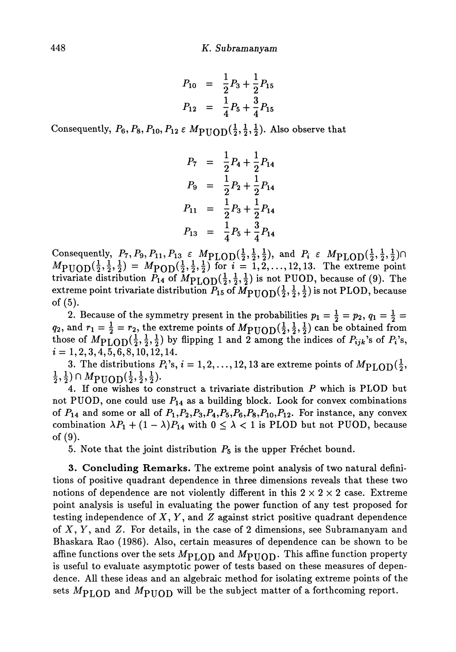$$
P_{10} = \frac{1}{2}P_3 + \frac{1}{2}P_{15}
$$
  

$$
P_{12} = \frac{1}{4}P_5 + \frac{3}{4}P_{15}
$$

Consequently,  $P_6, P_8, P_{10}, P_{12} \in M_{\text{PUOD}}(\frac{1}{2}, \frac{1}{2}, \frac{1}{2})$ . Also observe that

$$
P_7 = \frac{1}{2}P_4 + \frac{1}{2}P_{14}
$$
  
\n
$$
P_9 = \frac{1}{2}P_2 + \frac{1}{2}P_{14}
$$
  
\n
$$
P_{11} = \frac{1}{2}P_3 + \frac{1}{2}P_{14}
$$
  
\n
$$
P_{13} = \frac{1}{4}P_5 + \frac{3}{4}P_{14}
$$

Consequently,  $P_7, P_9, P_{11}, P_{13} \in M_{\rm PLOD}(\frac{1}{2}, \frac{1}{2}, \frac{1}{2})$ , and  $P_i \in M_{\rm PLOD}(\frac{1}{2}, \frac{1}{2}, \frac{1}{2})$  $M_{\text{PUOD}}(\frac{1}{2},\frac{1}{2},\frac{1}{2}) = M_{\text{POD}}(\frac{1}{2},\frac{1}{2},\frac{1}{2})$  for  $i = 1,2,..., 12,13$ . The extreme point trivariate distribution  $P_{14}$  of  $M_{\rm{PLOD}}(\frac{1}{2},\frac{1}{2},\frac{1}{2})$  is not PUOD, because of (9). The extreme point trivariate distribution  $P_{15}$  of  $\bar{M}_{\rm{PUOD}}(\frac{1}{2},\frac{1}{2},\frac{1}{2})$  is not PLOD, because of (5).

2. Because of the symmetry present in the probabilities  $p_1 = \frac{1}{2} = p_2, q_1 = \frac{1}{2} =$ , and  $r_1 = \frac{1}{2} = r_2$ , the extreme points of  $M_{\text{PUOD}}(\frac{1}{2},\frac{1}{2},\frac{1}{2})$  can be obtained from those of  $M_{\text{PLOD}}(\frac{1}{2}, \frac{1}{2}, \frac{1}{2})$  by flipping 1 and 2 among the indices of  $P_{ijk}$ 's of  $P_i$ 's,  $i = 1, 2, 3, 4, 5, 6, 8, 10, 12, 14.$ 

3. The distributions  $P_i$ 's,  $i = 1, 2, ..., 12, 13$  are extreme points of  $(\frac{1}{2},\frac{1}{2}) \cap M_{\text{PUOD}}(\frac{1}{2},\frac{1}{2},\frac{1}{2}).$ 

4. If one wishes to construct a trivariate distribution *P* which is PLOD but not PUOD, one could use  $P_{14}$  as a building block. Look for convex combinations of  $P_{14}$  and some or all of  $P_1$ ,  $P_2$ ,  $P_3$ ,  $P_4$ ,  $P_5$ ,  $P_6$ ,  $P_8$ ,  $P_{10}$ ,  $P_{12}$ . For instance, any convex combination  $\lambda P_1 + (1 - \lambda)P_{14}$  with  $0 \leq \lambda < 1$  is PLOD but not PUOD, because of (9).

5. Note that the joint distribution  $P_5$  is the upper Fréchet bound.

**3. Concluding Remarks.** The extreme point analysis of two natural defini tions of positive quadrant dependence in three dimensions reveals that these two notions of dependence are not violently different in this  $2 \times 2 \times 2$  case. Extreme point analysis is useful in evaluating the power function of any test proposed for testing independence of  $X, Y$ , and  $Z$  against strict positive quadrant dependence of X, y , and *Z.* For details, in the case of 2 dimensions, see Subramanyam and Bhaskara Rao (1986). Also, certain measures of dependence can be shown to be affine functions over the sets  $M_{\rm{PLOD}}$  and  $M_{\rm{PHOD}}$ . This affine function property is useful to evaluate asymptotic power of tests based on these measures of depen dence. All these ideas and an algebraic method for isolating extreme points of the sets  $M<sub>PLOD</sub>$  and  $M<sub>PUOD</sub>$  will be the subject matter of a forthcoming report.